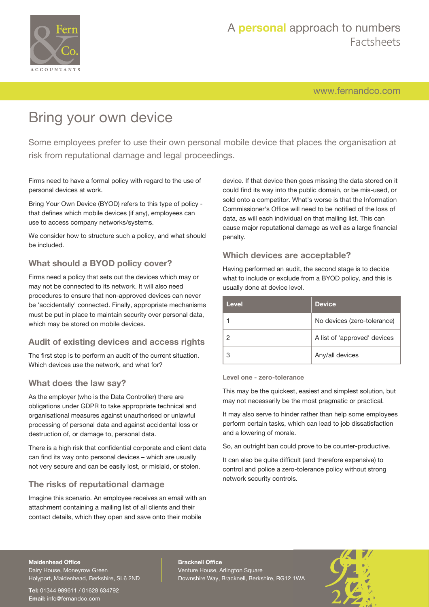

[www.fernandco.com](http://www.fernandco.com)

# Bring your own device

Some employees prefer to use their own personal mobile device that places the organisation at risk from reputational damage and legal proceedings.

Firms need to have a formal policy with regard to the use of personal devices at work.

Bring Your Own Device (BYOD) refers to this type of policy that defines which mobile devices (if any), employees can use to access company networks/systems.

We consider how to structure such a policy, and what should be included.

#### **What should a BYOD policy cover?**

Firms need a policy that sets out the devices which may or may not be connected to its network. It will also need procedures to ensure that non-approved devices can never be 'accidentally' connected. Finally, appropriate mechanisms must be put in place to maintain security over personal data, which may be stored on mobile devices.

#### **Audit of existing devices and access rights**

The first step is to perform an audit of the current situation. Which devices use the network, and what for?

#### **What does the law say?**

As the employer (who is the Data Controller) there are obligations under GDPR to take appropriate technical and organisational measures against unauthorised or unlawful processing of personal data and against accidental loss or destruction of, or damage to, personal data.

There is a high risk that confidential corporate and client data can find its way onto personal devices – which are usually not very secure and can be easily lost, or mislaid, or stolen.

#### **The risks of reputational damage**

Imagine this scenario. An employee receives an email with an attachment containing a mailing list of all clients and their contact details, which they open and save onto their mobile

device. If that device then goes missing the data stored on it could find its way into the public domain, or be mis-used, or sold onto a competitor. What's worse is that the Information Commissioner's Office will need to be notified of the loss of data, as will each individual on that mailing list. This can cause major reputational damage as well as a large financial penalty.

#### **Which devices are acceptable?**

Having performed an audit, the second stage is to decide what to include or exclude from a BYOD policy, and this is usually done at device level.

| Level | <b>Device</b>                |
|-------|------------------------------|
|       | No devices (zero-tolerance)  |
|       | A list of 'approved' devices |
|       | Any/all devices              |

#### **Level one - zero-tolerance**

This may be the quickest, easiest and simplest solution, but may not necessarily be the most pragmatic or practical.

It may also serve to hinder rather than help some employees perform certain tasks, which can lead to job dissatisfaction and a lowering of morale.

So, an outright ban could prove to be counter-productive.

It can also be quite difficult (and therefore expensive) to control and police a zero-tolerance policy without strong network security controls.

#### **Maidenhead Office**

Dairy House, Moneyrow Green Holyport, Maidenhead, Berkshire, SL6 2ND

**Tel:** 01344 989611 / 01628 634792 **Email:** [info@fernandco.com](mailto:info@fernandco.com)

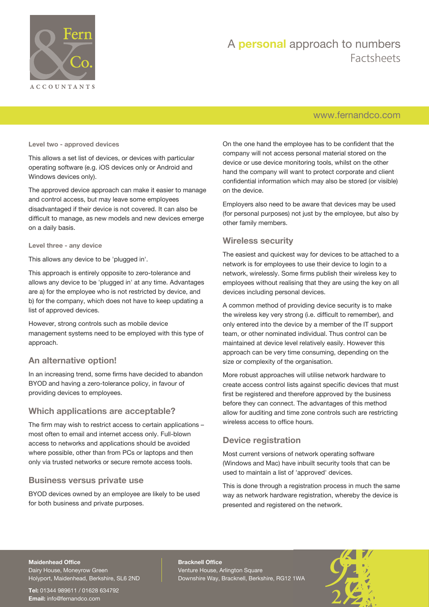

### [www.fernandco.com](http://www.fernandco.com)

**Level two - approved devices**

This allows a set list of devices, or devices with particular operating software (e.g. iOS devices only or Android and Windows devices only).

The approved device approach can make it easier to manage and control access, but may leave some employees disadvantaged if their device is not covered. It can also be difficult to manage, as new models and new devices emerge on a daily basis.

**Level three - any device**

This allows any device to be 'plugged in'.

This approach is entirely opposite to zero-tolerance and allows any device to be 'plugged in' at any time. Advantages are a) for the employee who is not restricted by device, and b) for the company, which does not have to keep updating a list of approved devices.

However, strong controls such as mobile device management systems need to be employed with this type of approach.

#### **An alternative option!**

In an increasing trend, some firms have decided to abandon BYOD and having a zero-tolerance policy, in favour of providing devices to employees.

#### **Which applications are acceptable?**

The firm may wish to restrict access to certain applications – most often to email and internet access only. Full-blown access to networks and applications should be avoided where possible, other than from PCs or laptops and then only via trusted networks or secure remote access tools.

#### **Business versus private use**

BYOD devices owned by an employee are likely to be used for both business and private purposes.

On the one hand the employee has to be confident that the company will not access personal material stored on the device or use device monitoring tools, whilst on the other hand the company will want to protect corporate and client confidential information which may also be stored (or visible) on the device.

Employers also need to be aware that devices may be used (for personal purposes) not just by the employee, but also by other family members.

#### **Wireless security**

The easiest and quickest way for devices to be attached to a network is for employees to use their device to login to a network, wirelessly. Some firms publish their wireless key to employees without realising that they are using the key on all devices including personal devices.

A common method of providing device security is to make the wireless key very strong (i.e. difficult to remember), and only entered into the device by a member of the IT support team, or other nominated individual. Thus control can be maintained at device level relatively easily. However this approach can be very time consuming, depending on the size or complexity of the organisation.

More robust approaches will utilise network hardware to create access control lists against specific devices that must first be registered and therefore approved by the business before they can connect. The advantages of this method allow for auditing and time zone controls such are restricting wireless access to office hours.

#### **Device registration**

Most current versions of network operating software (Windows and Mac) have inbuilt security tools that can be used to maintain a list of 'approved' devices.

This is done through a registration process in much the same way as network hardware registration, whereby the device is presented and registered on the network.

#### **Maidenhead Office**

Dairy House, Moneyrow Green Holyport, Maidenhead, Berkshire, SL6 2ND

**Tel:** 01344 989611 / 01628 634792 **Email:** [info@fernandco.com](mailto:info@fernandco.com)

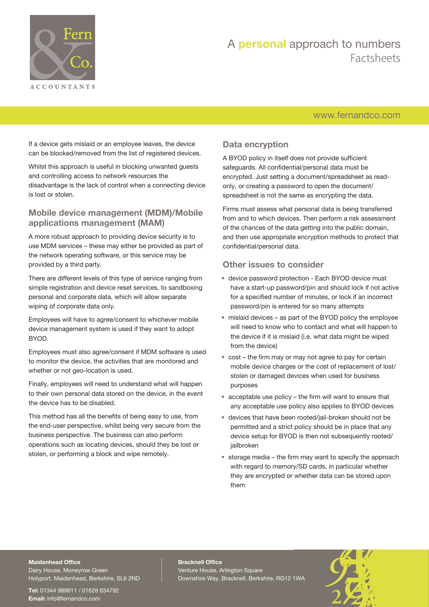

### [www.fernandco.com](http://www.fernandco.com)

If a device gets mislaid or an employee leaves, the device can be blocked/removed from the list of registered devices.

Whilst this approach is useful in blocking unwanted guests and controlling access to network resources the disadvantage is the lack of control when a connecting device is lost or stolen.

#### **Mobile device management (MDM)/Mobile applications management (MAM)**

A more robust approach to providing device security is to use MDM services – these may either be provided as part of the network operating software, or this service may be provided by a third party.

There are different levels of this type of service ranging from simple registration and device reset services, to sandboxing personal and corporate data, which will allow separate wiping of corporate data only.

Employees will have to agree/consent to whichever mobile device management system is used if they want to adopt BYOD.

Employees must also agree/consent if MDM software is used to monitor the device, the activities that are monitored and whether or not geo-location is used.

Finally, employees will need to understand what will happen to their own personal data stored on the device, in the event the device has to be disabled.

This method has all the benefits of being easy to use, from the end-user perspective, whilst being very secure from the business perspective. The business can also perform operations such as locating devices, should they be lost or stolen, or performing a block and wipe remotely.

### **Data encryption**

A BYOD policy in itself does not provide sufficient safeguards. All confidential/personal data must be encrypted. Just setting a document/spreadsheet as readonly, or creating a password to open the document/ spreadsheet is not the same as encrypting the data.

Firms must assess what personal data is being transferred from and to which devices. Then perform a risk assessment of the chances of the data getting into the public domain, and then use appropriate encryption methods to protect that confidential/personal data.

#### **Other issues to consider**

- device password protection Each BYOD device must have a start-up password/pin and should lock if not active for a specified number of minutes, or lock if an incorrect password/pin is entered for so many attempts
- mislaid devices as part of the BYOD policy the employee will need to know who to contact and what will happen to the device if it is mislaid (i.e. what data might be wiped from the device)
- cost the firm may or may not agree to pay for certain mobile device charges or the cost of replacement of lost/ stolen or damaged devices when used for business purposes
- acceptable use policy the firm will want to ensure that any acceptable use policy also applies to BYOD devices
- devices that have been rooted/jail-broken should not be permitted and a strict policy should be in place that any device setup for BYOD is then not subsequently rooted/ jailbroken
- storage media the firm may want to specify the approach with regard to memory/SD cards, in particular whether they are encrypted or whether data can be stored upon them

#### **Maidenhead Office**

Dairy House, Moneyrow Green Holyport, Maidenhead, Berkshire, SL6 2ND

**Tel:** 01344 989611 / 01628 634792 **Email:** [info@fernandco.com](mailto:info@fernandco.com)